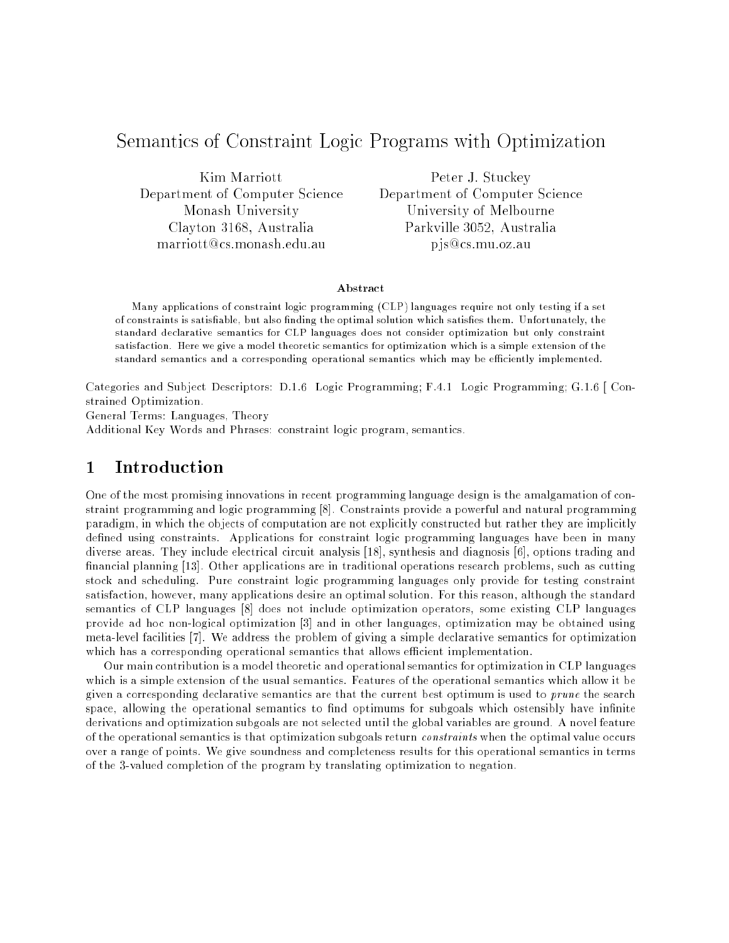# Semantics of Constraint Logic Programs with Optimization

Kim Marriott Department of Computer Science Monash University Clayton 3168, Australia marriott@cs.monash.edu.au

Peter J. Stuckey Department of Computer Science University of Melbourne Parkville 3052, Australia p js@cs.mu.oz.au

#### Abstract

Many applications of constraint logic programming (CLP) languages require not only testing if a setof constraints is satisfiable, but also finding the optimal solution which satisfies them. Unfortunately, the standard declarative semantics for CLP languages does not consider optimization but only constraint satisfaction. Here we give a model theoretic semantics for optimization which is a simple extension of the standard semantics and a corresponding operational semantics which may be efficiently implemented.

Categories and Subject Descriptors: D.1.6 Logic Programming; F.4.1 Logic Programming; G.1.6 [ Constrained Optimization.

General Terms: Languages, Theory

Additional Key Words and Phrases: constraint logic program, semantics.

# 1 Introduction

One of the most promising innovations in recent programming language design is the amalgamation of constraint programming and logic programming [8]. Constraints provide a powerful and natural programming paradigm, in which the objects of computation are not explicitly constructed but rather they are implicitly defined using constraints. Applications for constraint logic programming languages have been in many diverse areas. They include electrical circuit analysis [18], synthesis and diagnosis [6], options trading and financial planning [13]. Other applications are in traditional operations research problems, such as cutting stock and scheduling. Pure constraint logic programming languages only provide for testing constraint satisfaction, however, many applications desire an optimal solution. For this reason, although the standard semantics of CLP languages [8] does not include optimization operators, some existing CLP languages provide ad hoc non-logical optimization [3] and in other languages, optimization may be obtained using meta-level facilities [7]. We address the problem of giving a simple declarative semantics for optimization which has a corresponding operational semantics that allows efficient implementation.

Our main contribution is a model theoretic and operational semantics for optimization in CLP languages which is a simple extension of the usual semantics. Features of the operational semantics which allow it be given a corresponding declarative semantics are that the current best optimum is used to prune the search space, allowing the operational semantics to find optimums for subgoals which ostensibly have infinite derivations and optimization subgoals are not selected until the global variables are ground. A novel feature of the operational semantics is that optimization subgoals return constraints when the optimal value occurs over a range of points. We give soundness and completeness results for this operational semantics in terms of the 3-valued completion of the program by translating optimization to negation.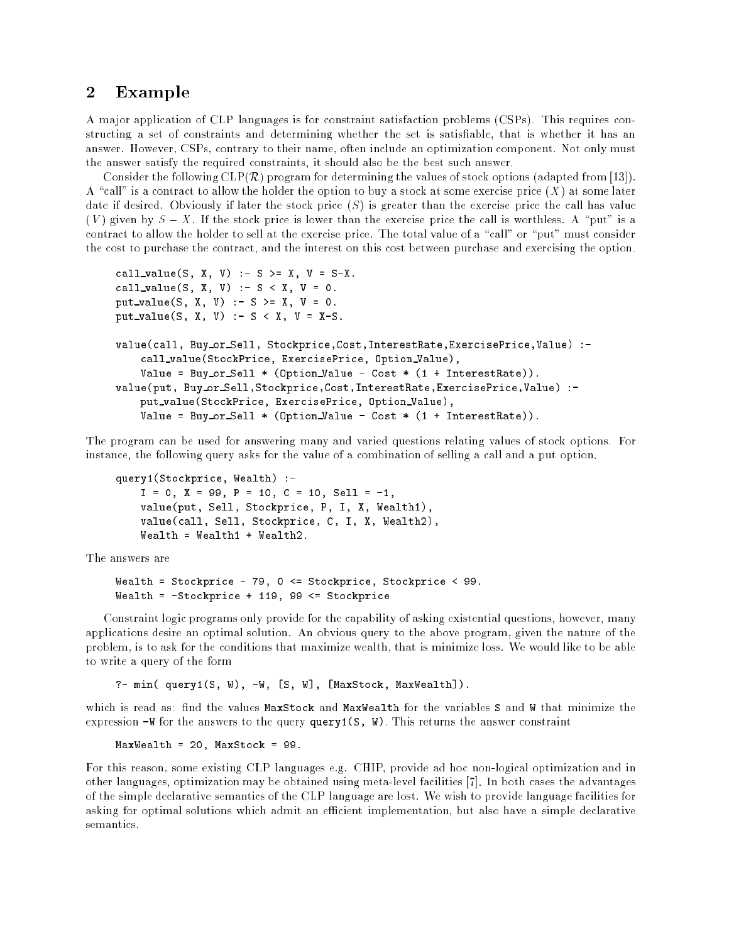### 2 Example

A major application of CLP languages is for constraint satisfaction problems (CSPs). This requires constructing a set of constraints and determining whether the set is satisfiable, that is whether it has an answer. However, CSPs, contrary to their name, often include an optimization component. Not only must the answer satisfy the required constraints, it should also be the best such answer.

Consider the following  $CLP(\mathcal{R})$  program for determining the values of stock options (adapted from [13]). A "call" is a contract to allow the holder the option to buy a stock at some exercise price  $(X)$  at some later date if desired. Obviously if later the stock price  $(S)$  is greater than the exercise price the call has value (V) given by  $S - X$ . If the stock price is lower than the exercise price the call is worthless. A "put" is a contract to allow the holder to sell at the exercise price. The total value of a "call" or "put" must consider the cost to purchase the contract, and the interest on this cost between purchase and exercising the option.

```
call value (S, V) :- S = X, V = S-X.
call value(S, X, V) :- S < X, V = 0.
put value(S, X, V) :- S >= X, V = 0.
put value(S, X, V) :- S < X, V = X-S.
value(call, Buy or Sell, Stockprice,Cost,InterestRate,ExercisePrice,Value) :-
    call value(StockPrice, ExercisePrice, Option Value),
    Value = Buy or Sell * (Option Value - Cost * (1 + InterestRate)).
value (put, Buy or Sell,Stockprice,Cost,InterestRate,Cost,InterestRate, Value) :-
    put value(StockPrice, ExercisePrice, Option Value),
    Value = Buy or Sell * (Option Value - Cost * (1 + InterestRate)).
```
The program can be used for answering many and varied questions relating values of stock options. For instance, the following query asks for the value of a combination of selling a call and a put option.

```
query1(Stockprice, Wealth) :-
     - 1, P = 1, P = 1, P = 1, P = 1, P = 1, P = 1, P = 1, P = 1, P = 1, P = 1, P = 1, P = 1, P = 1, P = 1, P = 1, 
     value(put, Sell, Stockprice, P, I, X, Wealth1),
     value(call, Sell, Stockprice, C, I, X, Wealth2),
```
The answers are

```
wealth = Stockprice - 79, 0 = Stockholm = 89. 0 = 99. 0 = 99. 0 = 99. 0 = 99. 0 = 99. 0 = 99. 0 = 99. 0 = 99. 0
wealth = -Stockprice + 119, 99 stockprice + 119, 99 stockprice + 119, 99 stockprice + 119, 99 stock price + 1
```
Constraint logic programs only provide for the capability of asking existential questions, however, many applications desire an optimal solution. An obvious query to the above program, given the nature of the problem, is to ask for the conditions that maximize wealth, that is minimize loss. We would like to be able to write a query of the form

?- min( query1(S, W), -W, [S, W], [MaxStock, MaxWealth]).

which is read as: find the values MaxStock and MaxWealth for the variables S and W that minimize the expression  $-W$  for the answers to the query query1(S, W). This returns the answer constraint

```
MaxWealth = 20, MaxStock = 99.
```
For this reason, some existing CLP languages e.g. CHIP, provide ad hoc non-logical optimization and in other languages, optimization may be obtained using meta-level facilities [7]. In both cases the advantages of the simple declarative semantics of the CLP language are lost. We wish to provide language facilities for asking for optimal solutions which admit an efficient implementation, but also have a simple declarative semantics.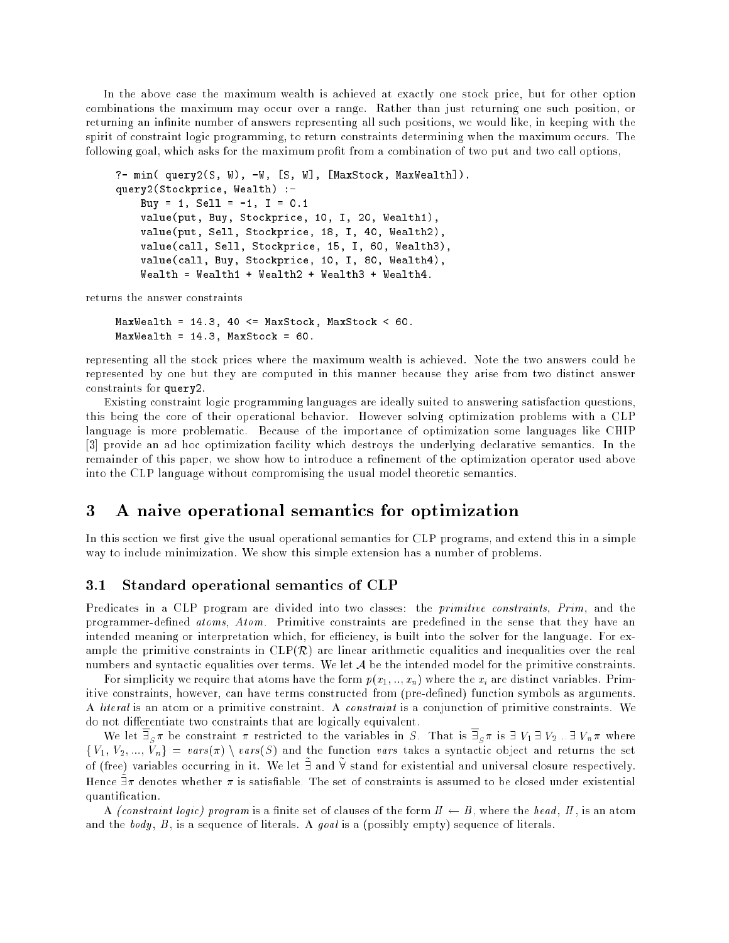In the above case the maximum wealth is achieved at exactly one stock price, but for other option combinations the maximum may occur over a range. Rather than just returning one such position, or returning an infinite number of answers representing all such positions, we would like, in keeping with the spirit of constraint logic programming, to return constraints determining when the maximum occurs. The following goal, which asks for the maximum prot from a combination of two put and two call options,

```
?- min( query2(S, W), -W, [S, W], [MaxStock, MaxWealth]).
query2(Stockprice, Wealth) :-
    Buy = 1, Sell = -1, I = 0.1
    value(put, Buy, Stockprice, 10, I, 20, Wealth1),
    value(put, Sell, Stockprice, 18, I, 40, Wealth2),
    value(call, Sell, Stockprice, 15, I, 60, Wealth3),
    value(call, Buy, Stockprice, 10, I, 80, Wealth4),
```
returns the answer constraints

```
maxwealth = 14.3, 40 maxwealth = 14.3, 40 maxwealth = 14.3, 40 maxwealth = 14.4, 40 maxwealth = 14.4, 40 maxwe
MaxWealth = 14.3, MaxStock = 60.
```
representing all the stock prices where the maximum wealth is achieved. Note the two answers could be represented by one but they are computed in this manner because they arise from two distinct answer constraints for query2.

Existing constraint logic programming languages are ideally suited to answering satisfaction questions, this being the core of their operational behavior. However solving optimization problems with a CLP language is more problematic. Because of the importance of optimization some languages like CHIP [3] provide an ad hoc optimization facility which destroys the underlying declarative semantics. In the remainder of this paper, we show how to introduce a refinement of the optimization operator used above into the CLP language without compromising the usual model theoretic semantics.

## 3 A naive operational semantics for optimization

In this section we first give the usual operational semantics for CLP programs, and extend this in a simple way to include minimization. We show this simple extension has a number of problems.

#### 3.1 Standard operational semantics of CLP

Predicates in a CLP program are divided into two classes: the *primitive constraints*, Prim, and the programmer-defined atoms, Atom. Primitive constraints are predefined in the sense that they have an intended meaning or interpretation which, for efficiency, is built into the solver for the language. For example the primitive constraints in  $CLP(\mathcal{R})$  are linear arithmetic equalities and inequalities over the real numbers and syntactic equalities over terms. We let  $A$  be the intended model for the primitive constraints.

For simplicity we require that atoms have the form  $p(x_1,..,x_n)$  where the  $x_i$  are distinct variables. Primitive constraints, however, can have terms constructed from (pre-defined) function symbols as arguments. A literal is an atom or a primitive constraint. A constraint is a conjunction of primitive constraints. We do not differentiate two constraints that are logically equivalent.

We do not give a constraint  $\alpha$  -constraint to the variables in S . That is  $S$  is 9 V  $\alpha$  ,  $\beta$  where  $\alpha$   $\mu$  where  $\alpha$ folisi varsing  $\mu$  , and the function variable construction variables as symmetric object and returns the set of (free) variables occurring in it. We let I and V stand for existential and universal closure respectively. Hence  $\Box$  a denotes whether a is satisfiable. The set of constraints is assumed to be closed under existential quantication.

A *(constraint logic)* program is a finite set of clauses of the form  $H \leftarrow B$ , where the head, H, is an atom and the body,  $B$ , is a sequence of literals. A goal is a (possibly empty) sequence of literals.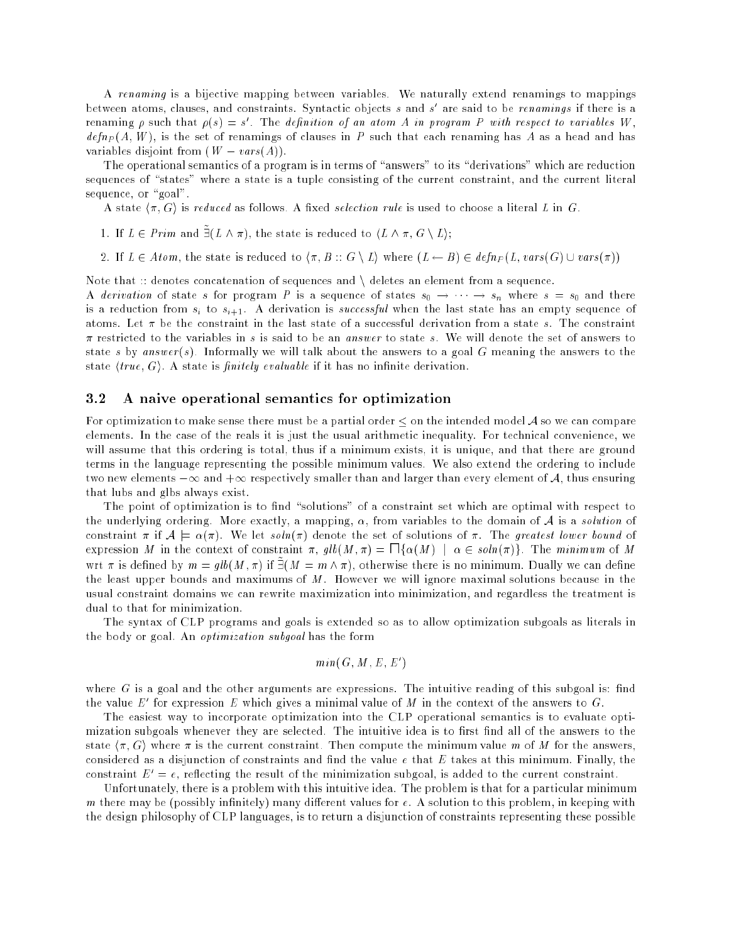A renaming is a bijective mapping between variables. We naturally extend renamings to mappings between atoms, clauses, and constraints. Syntactic objects  $s$  and  $s$  are said to be renamings if there is a renaming  $\rho$  such that  $\rho(s) = s$  . The definition of an atom A in program P with respect to variables W , define  $\alpha$  , as a finite set of renamings of clauses in P such that each renaming has A as a head and has variables disjoint from  $(W - vars(A))$ .

The operational semantics of a program is in terms of "answers" to its "derivations" which are reduction sequences of "states" where a state is a tuple consisting of the current constraint, and the current literal sequence, or "goal".

A state  $\langle \pi, G \rangle$  is reduced as follows. A fixed selection rule is used to choose a literal L in G.

- 1. If  $L \in \mathbb{F}$  rim and  $\exists$  (L  $\land$  ), the state is reduced to  $\langle L \land \mathcal{X}, G \land L \rangle$ ;
- 2. If  $\alpha$  2 atom, the state is reduced to h; B  $\alpha$  is a finite form  $\alpha$   $\alpha$   $\beta$   $\alpha$   $\beta$   $\alpha$   $\beta$   $\beta$  and  $\alpha$

Note that  $::$  denotes concatenation of sequences and  $\setminus$  deletes an element from a sequence.

A derivation of state s for program P is a sequence of states  $s_0 \rightarrow \cdots \rightarrow s_n$  where  $s = s_0$  and there is a reduction from si to si+1. <sup>A</sup> derivation is successful when the last state has an empty sequence of atoms. Let  $\pi$  be the constraint in the last state of a successful derivation from a state s. The constraint  $\pi$  restricted to the variables in s is said to be an answer to state s. We will denote the set of answers to state s by answer(s). Informally we will talk about the answers to a goal G meaning the answers to the state  $\langle true, G \rangle$ . A state is *finitely evaluable* if it has no infinite derivation.

#### 3.2 A naive operational semantics for optimization

For optimization to make sense there must be a partial order  $\leq$  on the intended model A so we can compare elements. In the case of the reals it is just the usual arithmetic inequality. For technical convenience, we will assume that this ordering is total, thus if a minimum exists, it is unique, and that there are ground terms in the language representing the possible minimum values. We also extend the ordering to include two new elements  $-\infty$  and  $+\infty$  respectively smaller than and larger than every element of A, thus ensuring that lubs and glbs always exist.

The point of optimization is to find "solutions" of a constraint set which are optimal with respect to the underlying ordering. More exactly, a mapping,  $\alpha$ , from variables to the domain of A is a *solution* of constraint  $\pi$  if  $\mathcal{A} \models \alpha(\pi)$ . We let soln( $\pi$ ) denote the set of solutions of  $\pi$ . The greatest lower bound of expression M in the context of constraint  $\pi$ ,  $glb(M, \pi) = \prod {\{\alpha(M) \mid \alpha \in soln(\pi)\}}$ . The minimum of M wrt a is defined by  $m = q w(M, n)$  if  $M = m \wedge n$ , otherwise there is no minimum. Dually we can define the least upper bounds and maximums of  $M$ . However we will ignore maximal solutions because in the usual constraint domains we can rewrite maximization into minimization, and regardless the treatment is dual to that for minimization.

The syntax of CLP programs and goals is extended so as to allow optimization subgoals as literals in the body or goal. An optimization subgoal has the form

$$
min(G, M, E, E')
$$

where  $G$  is a goal and the other arguments are expressions. The intuitive reading of this subgoal is: find the value  $E$  for expression  $E$  which gives a minimal value of  $M$  in the context of the answers to  $\mathbf{G}$ .

The easiest way to incorporate optimization into the CLP operational semantics is to evaluate optimization subgoals whenever they are selected. The intuitive idea is to first find all of the answers to the state  $\langle \pi, G \rangle$  where  $\pi$  is the current constraint. Then compute the minimum value m of M for the answers, considered as a disjunction of constraints and find the value  $e$  that  $E$  takes at this minimum. Finally, the constraint  $E' = e$ , reflecting the result of the minimization subgoal, is added to the current constraint.

Unfortunately, there is a problem with this intuitive idea. The problem is that for a particular minimum m there may be (possibly infinitely) many different values for  $e$ . A solution to this problem, in keeping with the design philosophy of CLP languages, is to return a disjunction of constraints representing these possible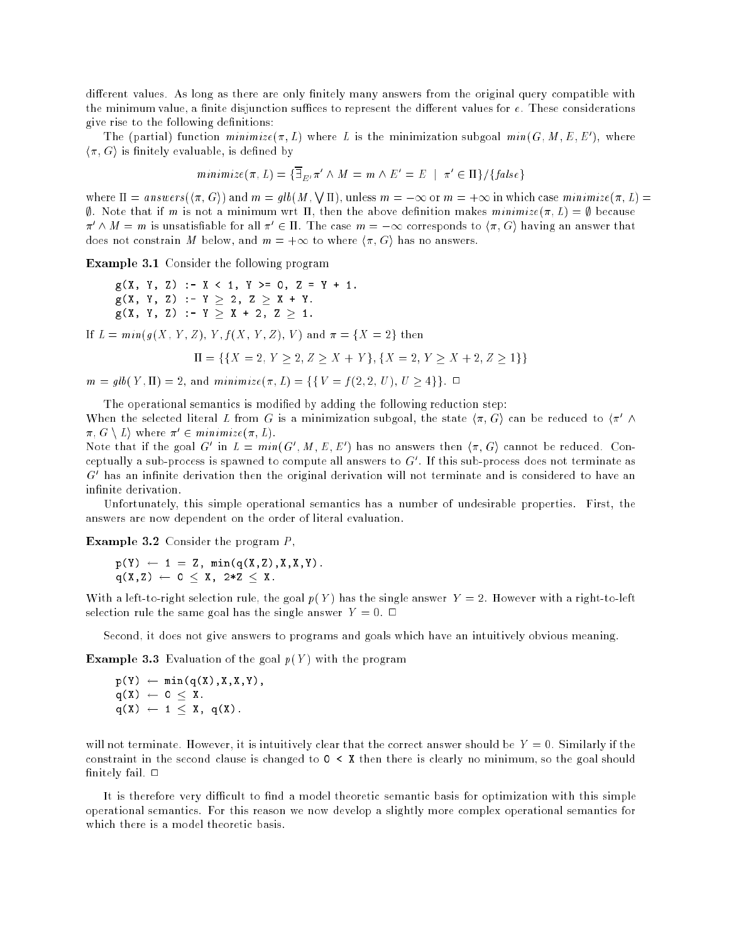different values. As long as there are only finitely many answers from the original query compatible with the minimum value, a finite disjunction suffices to represent the different values for  $e$ . These considerations give rise to the following denitions:

The (partial) function minimize( $\pi$ ,  $L$ ) where L is the minimization subgoal min( $G$ ,  $M$ ,  $E$ ,  $E$ ), where  $\langle \pi, G \rangle$  is finitely evaluable, is defined by

$$
minimize(\pi, L) = {\overline{\exists}_{E'}} \pi' \land M = m \land E' = E \mid \pi' \in \Pi
$$
 / {false}

where  $\Pi =$  answers  $(\pi, G)$  and  $m = q b(M, \sqrt{\Pi})$ , unless  $m = -\infty$  or  $m = +\infty$  in which case minimize  $(\pi, L)$  $\emptyset$ . Note that if m is not a minimum wrt  $\Pi$ , then the above definition makes minimize( $\pi, L$ ) =  $\emptyset$  because  $\pi$   $\wedge$   $m$   $\equiv$   $m$  is unsatisfiable for all  $\pi$   $\in$   $\pi$ . Ine case  $m$   $\equiv$   $-\infty$  corresponds to  $\langle \pi,$  G) naving an answer that does not constrain M below, and  $m = +\infty$  to where  $\langle \pi, G \rangle$  has no answers.

Example 3.1 Consider the following program

g(X, Y, Z) :- <sup>X</sup> <sup>&</sup>lt; 1, <sup>Y</sup> >= 0, <sup>Z</sup> <sup>=</sup> <sup>Y</sup> <sup>+</sup> 1. g(X, Y, Z) :- <sup>Y</sup> 2, <sup>Z</sup> <sup>X</sup> <sup>+</sup> Y. g, y, y, y, y, y, y, y, z, z, z, z,

If  $L = min(g(X, Y, Z), Y, f(X, Y, Z), V)$  and  $\pi = \{X = 2\}$  then

$$
\Pi = \{ \{ X = 2, Y \ge 2, Z \ge X + Y \}, \{ X = 2, Y \ge X + 2, Z \ge 1 \} \}
$$

 $m = glb(Y, \Pi) = 2$ , and  $minimize(\pi, L) = \{\{V = f(2, 2, U), U > 4\}\}\. \Box$ 

The operational semantics is modified by adding the following reduction step:

When the selected interal L from G is a minimization subgoal, the state  $\langle \pi, G \rangle$  can be reduced to  $\langle \pi, N \rangle$  $\pi$ ,  $\sigma \setminus L$ ) where  $\pi \in \mathbb{R}$  minimize( $\pi$ ,  $L$ ).

Note that if the goal  $G$  in  $L = min(G, M, E, E)$  has no answers then  $\langle \pi, G \rangle$  cannot be reduced. Conceptually a sub-process is spawned to compute all answers to G<sup>0</sup> . If this sub-process does not terminate as  $\,$  -mas an infinite derivation then the original derivation will not terminate and is considered to have an infinite derivation.

Unfortunately, this simple operational semantics has a number of undesirable properties. First, the answers are now dependent on the order of literal evaluation.

Example 3.2 Consider the program P,

$$
p(Y) \leftarrow 1 = Z, \min(q(X, Z), X, X, Y).
$$
  
 
$$
q(X, Z) \leftarrow 0 \leq X, \ 2*Z \leq X.
$$

With a left-to-right selection rule, the goal  $p(Y)$  has the single answer  $Y = 2$ . However with a right-to-left selection rule the same goal has the single answer  $Y = 0$ .

Second, it does not give answers to programs and goals which have an intuitively obvious meaning.

**Example 3.3** Evaluation of the goal  $p(Y)$  with the program

$$
p(Y) \leftarrow min(q(X), X, X, Y),
$$
  
 
$$
q(X) \leftarrow 0 \leq X,
$$
  
 
$$
q(X) \leftarrow 1 \leq X, q(X).
$$

will not terminate. However, it is intuitively clear that the correct answer should be  $Y = 0$ . Similarly if the constraint in the second clause is changed to  $0 \lt X$  then there is clearly no minimum, so the goal should finitely fail.  $\Box$ 

It is therefore very difficult to find a model theoretic semantic basis for optimization with this simple operational semantics. For this reason we now develop a slightly more complex operational semantics for which there is a model theoretic basis.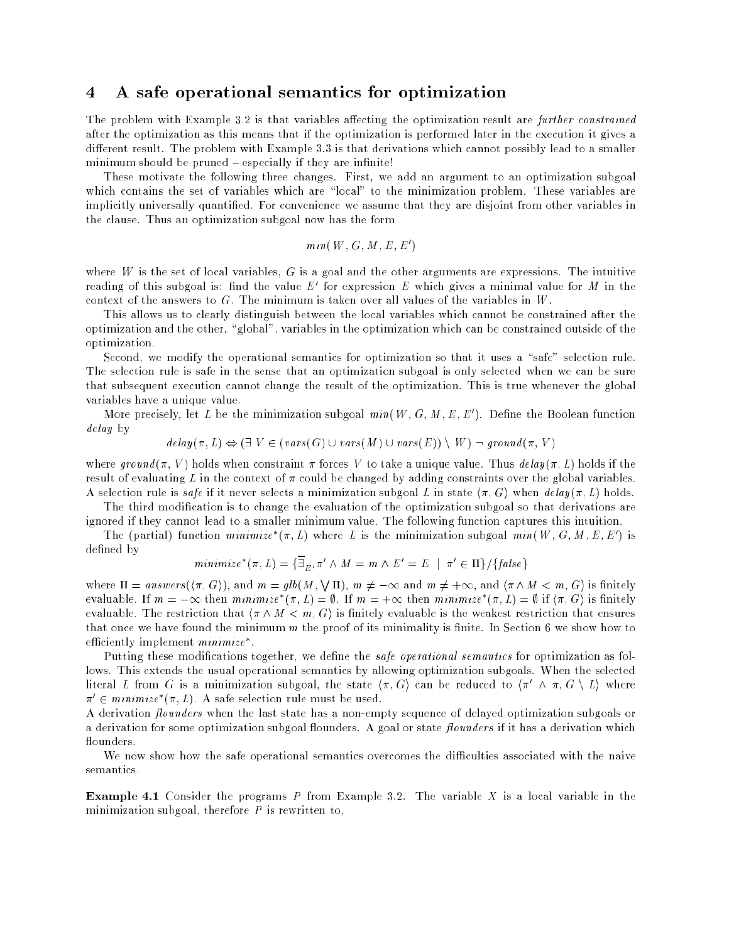### 4 A safe operational semantics for optimization

The problem with Example 3.2 is that variables affecting the optimization result are further constrained after the optimization as this means that if the optimization is performed later in the execution it gives a different result. The problem with Example 3.3 is that derivations which cannot possibly lead to a smaller minimum should be pruned - especially if they are infinite!

These motivate the following three changes. First, we add an argument to an optimization subgoal which contains the set of variables which are "local" to the minimization problem. These variables are implicitly universally quantied. For convenience we assume that they are disjoint from other variables in the clause. Thus an optimization subgoal now has the form

$$
min(W, G, M, E, E')
$$

where  $W$  is the set of local variables,  $G$  is a goal and the other arguments are expressions. The intuitive reading of this subgoal is: find the value  $E$  -for expression  $E$  which gives a minimal value for  $M$  in the context of the answers to  $G$ . The minimum is taken over all values of the variables in  $W$ .

This allows us to clearly distinguish between the local variables which cannot be constrained after the optimization and the other, "global", variables in the optimization which can be constrained outside of the optimization.

Second, we modify the operational semantics for optimization so that it uses a "safe" selection rule. The selection rule is safe in the sense that an optimization subgoal is only selected when we can be sure that subsequent execution cannot change the result of the optimization. This is true whenever the global variables have a unique value.

More precisely, let L be the minimization subgoal  $min(W, G, M, E, E)$ . Define the Boolean function delay by

 $delay(\pi, L) \Leftrightarrow (\exists V \in (vars(G) \cup vars(M) \cup vars(E)) \setminus W) \neg ground(\pi, V)$ 

where ground ( $\pi$ , V) holds when constraint  $\pi$  forces V to take a unique value. Thus delay ( $\pi$ , L) holds if the result of evaluating L in the context of  $\pi$  could be changed by adding constraints over the global variables. A selection rule is safe if it never selects a minimization subgoal L in state  $\langle \pi, G \rangle$  when delay $(\pi, L)$  holds.

The third modification is to change the evaluation of the optimization subgoal so that derivations are ignored if they cannot lead to a smaller minimum value. The following function captures this intuition.

The (partial) function *minimize* ( $\pi$ ,  $L$ ) where L is the minimization subgoal  $min(W, G, M, E, E)$  is defined by

$$
minimize^*(\pi, L) = {\overline{\exists}_{E'}} \pi' \land M = m \land E' = E \mid \pi' \in \Pi \} / {\{false\}}
$$

where  $\Pi = answers(\pi, G)$ , and  $m = glb(M, \sqrt{\Pi})$ ,  $m \neq -\infty$  and  $m \neq +\infty$ , and  $\langle \pi \wedge M \langle m, G \rangle$  is finitely evaluable. If  $m=-\infty$  then minimize  $(\pi, \bot) = \emptyset$ . If  $m=+\infty$  then minimize  $(\pi, \bot) = \emptyset$  if  $(\pi, \cup)$  is finitely evaluable. The restriction that  $\langle \pi \wedge M \langle m, G \rangle$  is finitely evaluable is the weakest restriction that ensures that once we have found the minimum  $m$  the proof of its minimality is finite. In Section 6 we show how to emclently implement *minimize* .

Putting these modifications together, we define the *safe operational semantics* for optimization as follows. This extends the usual operational semantics by allowing optimization subgoals. When the selected literal L from G is a minimization subgoal, the state  $\langle \pi, G \rangle$  can be reduced to  $\langle \pi \rangle \wedge \pi, G \setminus L \rangle$  where  $\pi^+ \in minimize$  ( $\pi, L$ ). A safe selection rule must be used.

A derivation *flounders* when the last state has a non-empty sequence of delayed optimization subgoals or a derivation for some optimization subgoal flounders. A goal or state flounders if it has a derivation which flounders.

We now show how the safe operational semantics overcomes the difficulties associated with the naive semantics.

**Example 4.1** Consider the programs  $P$  from Example 3.2. The variable  $X$  is a local variable in the minimization subgoal, therefore  $P$  is rewritten to,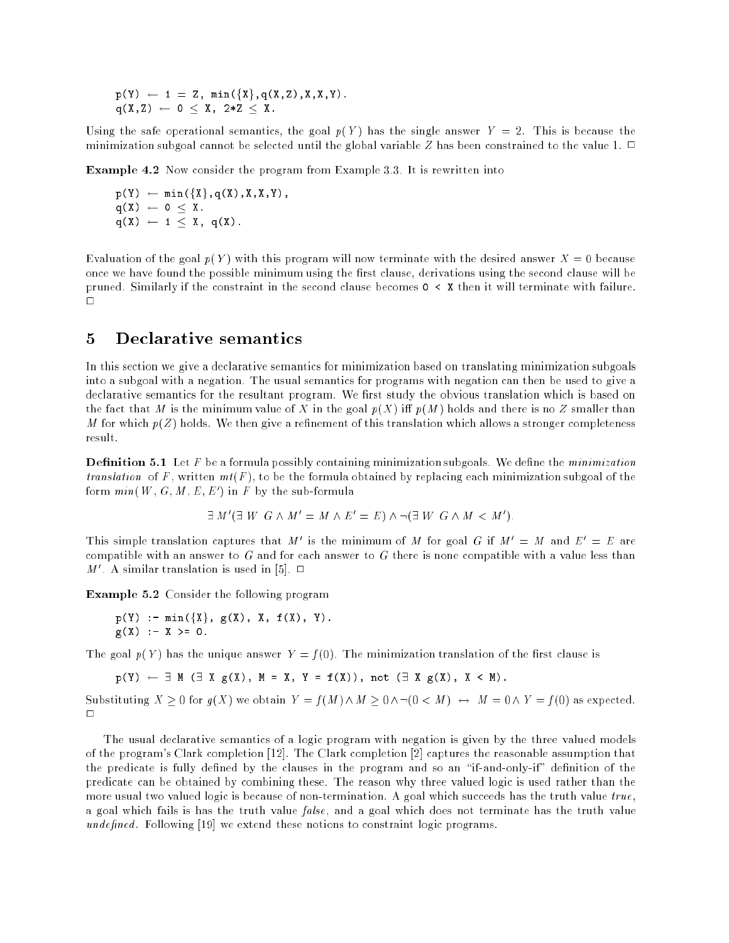$p(Y) \leftarrow 1 = Z$ ,  $min({X}, q(X, Z), X, X, Y)$ .  $q(X,Z) \leftarrow 0 \leq X, 2*Z \leq X.$ 

Using the safe operational semantics, the goal  $p(Y)$  has the single answer  $Y = 2$ . This is because the minimization subgoal cannot be selected until the global variable Z has been constrained to the value 1.  $\Box$ 

Example 4.2 Now consider the program from Example 3.3. It is rewritten into

 $p(Y) \leftarrow min({X}, q(X), X, X, Y),$  $q(X) \leftarrow 0 \leq X$ .  $q(X) \leftarrow 1 \leq X, q(X).$ 

Evaluation of the goal  $p(Y)$  with this program will now terminate with the desired answer  $X = 0$  because once we have found the possible minimum using the first clause, derivations using the second clause will be pruned. Similarly if the constraint in the second clause becomes <sup>0</sup> <sup>&</sup>lt; <sup>X</sup> then it will terminate with failure.  $\Box$ 

### 5 Declarative semantics

In this section we give a declarative semantics for minimization based on translating minimization subgoals into a subgoal with a negation. The usual semantics for programs with negation can then be used to give a declarative semantics for the resultant program. We first study the obvious translation which is based on the fact that M is the minimum value of X in the goal  $p(X)$  iff  $p(M)$  holds and there is no Z smaller than M for which  $p(Z)$  holds. We then give a refinement of this translation which allows a stronger completeness result.

**Definition 5.1** Let  $F$  be a formula possibly containing minimization subgoals. We define the *minimization* translation of F, written  $mt(F)$ , to be the formula obtained by replacing each minimization subgoal of the form  $min$  (w,  $G$ ,  $M$  ,  $E$  ,  $E$  ) in  $F$  by the sub-formula

$$
\exists M'(\exists W \ G \land M' = M \land E' = E) \land \neg (\exists W \ G \land M < M').
$$

In is simple translation captures that M is the minimum of M for goal G if  $M = M$  and  $E = E$  are compatible with an answer to  $G$  and for each answer to  $G$  there is none compatible with a value less than  $M$  . A similar translation is used in [5].  $\Box$ 

Example 5.2 Consider the following program

p(Y) :- min(fXg, g(X), X, f(X), Y). g(X) :- <sup>X</sup> >= 0.

The goal  $p(Y)$  has the unique answer  $Y = f(0)$ . The minimization translation of the first clause is

 $p(Y) \leftarrow \exists M (\exists X g(X), M = X, Y = f(X)), not (\exists X g(X), X \leq M).$ 

Substituting  $X \ge 0$  for  $g(X)$  we obtain  $Y = f(M) \wedge M \ge 0 \wedge \neg(0 \lt M) \leftrightarrow M = 0 \wedge Y = f(0)$  as expected.

The usual declarative semantics of a logic program with negation is given by the three valued models of the program's Clark completion [12]. The Clark completion [2] captures the reasonable assumption that the predicate is fully defined by the clauses in the program and so an "if-and-only-if" definition of the predicate can be obtained by combining these. The reason why three valued logic is used rather than the more usual two valued logic is because of non-termination. A goal which succeeds has the truth value  $true$ , a goal which fails is has the truth value false, and a goal which does not terminate has the truth value undefined. Following [19] we extend these notions to constraint logic programs.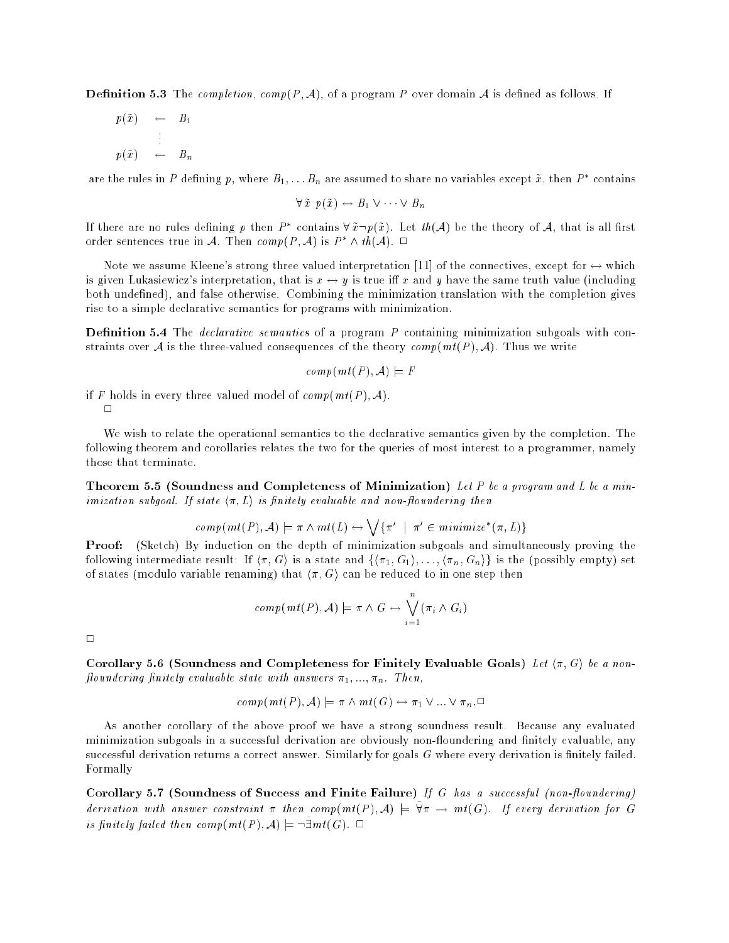**Definition 5.3** The completion, comp(P, A), of a program P over domain A is defined as follows. If

$$
p(\tilde{x}) \leftarrow B_1
$$
  
\n
$$
\vdots
$$
  
\n
$$
p(\tilde{x}) \leftarrow B_n
$$

are the rules in  $P$  defining  $p$ , where  $B_1, \ldots B_n$  are assumed to share no variables except  $x$  , then  $P$  -contains

$$
\forall \tilde{x} \ p(\tilde{x}) \leftrightarrow B_1 \lor \cdots \lor B_n
$$

If there are no rules defining  $p$  then  $P$  -contains  $\forall x \neg p(x)$ . Let  $w(\mathcal{A})$  be the theory of  $\mathcal{A},$  that is all first order sentences true in  $A$ . Then  $\textit{comp}(F, A)$  is  $F \wedge \textit{th}(A)$ .  $\Box$ 

Note we assume Kleene's strong three valued interpretation [11] of the connectives, except for  $\leftrightarrow$  which is given Lukasiewicz's interpretation, that is  $x \leftrightarrow y$  is true iff x and y have the same truth value (including both undefined), and false otherwise. Combining the minimization translation with the completion gives rise to a simple declarative semantics for programs with minimization.

**Definition 5.4** The *declarative semantics* of a program  $P$  containing minimization subgoals with constraints over A is the three-valued consequences of the theory  $comp(mt(P), A)$ . Thus we write

$$
comp(mt(P), \mathcal{A}) \models F
$$

if F holds in every three valued model of  $comp(mt(P), A)$ .  $\Box$ 

We wish to relate the operational semantics to the declarative semantics given by the completion. The following theorem and corollaries relates the two for the queries of most interest to a programmer, namely those that terminate.

**Theorem 5.5 (Soundness and Completeness of Minimization)** Let P be a program and L be a minimization subgoal. If state  $\langle \pi, L \rangle$  is finitely evaluable and non-floundering then

$$
comp(mt(P), A) \models \pi \land mt(L) \leftrightarrow \bigvee {\pi' \mid \pi' \in minimize^*(\pi, L)}
$$

Proof: (Sketch) By induction on the depth of minimization subgoals and simultaneously proving the following intermediate result: If  $\langle \pi, G \rangle$  is a state and  $\{\langle \pi_1, G_1 \rangle, \ldots, \langle \pi_n, G_n \rangle\}$  is the (possibly empty) set of states (modulo variable renaming) that  $\langle \pi, G \rangle$  can be reduced to in one step then

$$
comp(mt(P), A) \models \pi \wedge G \leftrightarrow \bigvee_{i=1}^{n} (\pi_i \wedge G_i)
$$

 $\Box$ 

Corollary 5.6 (Soundness and Completeness for Finitely Evaluable Goals) Let  $\langle \pi, G \rangle$  be a nonfloundering finitely evaluable state with answers  $\pi_1, \ldots, \pi_n$ . Then,

$$
comp(mt(P), A) \models \pi \land mt(G) \leftrightarrow \pi_1 \lor ... \lor \pi_n \Box
$$

As another corollary of the above proof we have a strong soundness result. Because any evaluated minimization subgoals in a successful derivation are obviously non-floundering and finitely evaluable, any successful derivation returns a correct answer. Similarly for goals G where every derivation is finitely failed. Formally

Corollary 5.7 (Soundness of Success and Finite Failure) If G has a successful (non-floundering)  $a$ erivation with answer constraint a then comp(mt(f); ${\cal A}$ )  $\models$  ya  $\to$  mt( $\cup$ ). If every aerivation for  $\cup$ is finitely fatted then comp(mt(f),  $A$ )  $\models$   $\neg$   $\exists$ mt(G).  $\sqcup$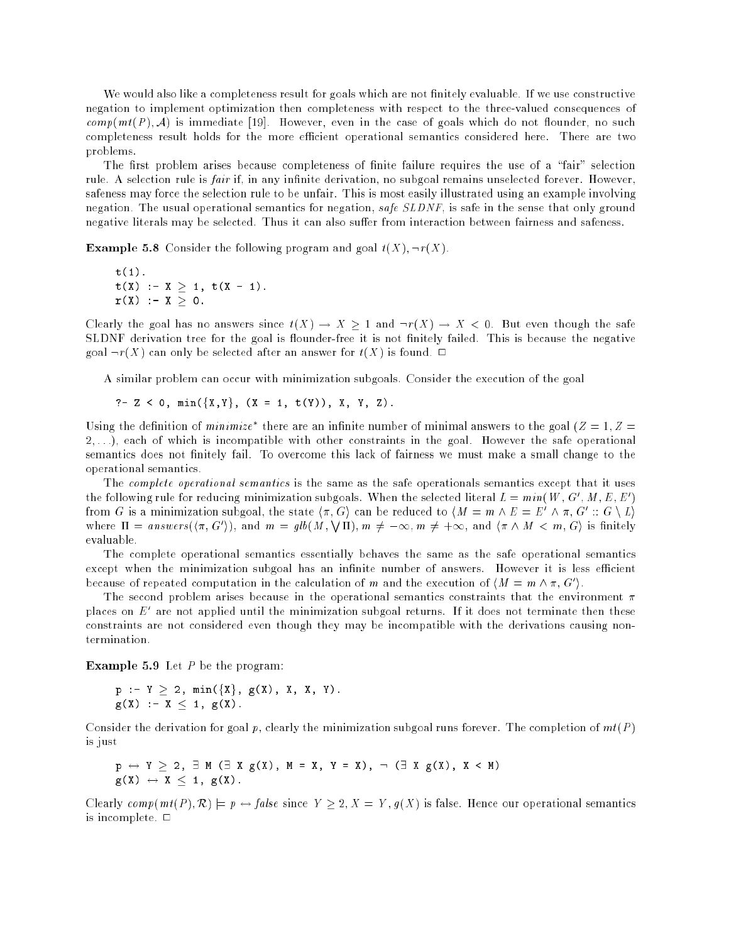We would also like a completeness result for goals which are not finitely evaluable. If we use constructive negation to implement optimization then completeness with respect to the three-valued consequences of  $comp(mt(P), \mathcal{A})$  is immediate [19]. However, even in the case of goals which do not flounder, no such completeness result holds for the more efficient operational semantics considered here. There are two problems.

The first problem arises because completeness of finite failure requires the use of a "fair" selection rule. A selection rule is *fair* if, in any infinite derivation, no subgoal remains unselected forever. However, safeness may force the selection rule to be unfair. This is most easily illustrated using an example involving negation. The usual operational semantics for negation, safe SLDNF, is safe in the sense that only ground negative literals may be selected. Thus it can also suffer from interaction between fairness and safeness.

**Example 5.8** Consider the following program and goal  $t(X)$ ,  $\neg r(X)$ .

t(1).  
\nt(X) :- X 
$$
\geq
$$
 1, t(X - 1).  
\nr(X) :- X  $\geq$  0.

Clearly the goal has no answers since  $t(X) \to X \ge 1$  and  $\neg r(X) \to X < 0$ . But even though the safe SLDNF derivation tree for the goal is flounder-free it is not finitely failed. This is because the negative goal  $\neg r(X)$  can only be selected after an answer for  $t(X)$  is found.  $\Box$ 

A similar problem can occur with minimization subgoals. Consider the execution of the goal

?-<sup>Z</sup> <sup>&</sup>lt; 0, min(fX,Yg, (X <sup>=</sup> 1, t(Y)), X, Y, Z).

Using the definition of *minimize* there are an infinite number of minimal answers to the goal ( $Z = 1, Z =$  $2, \ldots$ ), each of which is incompatible with other constraints in the goal. However the safe operational semantics does not finitely fail. To overcome this lack of fairness we must make a small change to the operational semantics.

The complete operational semantics is the same as the safe operationals semantics except that it uses the following rule for reducing minimization subgoals. When the selected fiteral  $L = min(W, G, M, E, E)$ from G is a minimization subgoal, the state  $\langle \pi, G \rangle$  can be reduced to  $\langle M \rangle = m \land E \equiv E \land \pi, G \cong G \setminus E$ where  $\Pi = \text{answer} s(\langle \pi, G' \rangle)$ , and  $m = \text{qlb}(M, \sqrt{\Pi})$ ,  $m \neq -\infty$ ,  $m \neq +\infty$ , and  $\langle \pi \wedge M \langle m, G \rangle$  is finitely evaluable.

The complete operational semantics essentially behaves the same as the safe operational semantics except when the minimization subgoal has an infinite number of answers. However it is less efficient because of repeated computation in the calculation of m and the execution of  $\{M = m \wedge \pi, G\}$ .

The second problem arises because in the operational semantics constraints that the environment  $\pi$ places on  $E$  are not applied until the minimization subgoal returns. If it does not terminate then these constraints are not considered even though they may be incompatible with the derivations causing nontermination.

**Example 5.9** Let  $P$  be the program:

$$
p := Y \ge 2, \min(\{X\}, g(X), X, X, Y).
$$
  
 
$$
g(X) := X < 1, g(X).
$$

Consider the derivation for goal p, clearly the minimization subgoal runs forever. The completion of  $mt(P)$ is just

$$
\begin{array}{l}p\leftrightarrow Y\geq 2,\ \exists\ M\ (\exists\ X\ g(X)\,,\ M=X,\ Y=X)\,,\ \neg\ (\exists\ X\ g(X)\,,\ X\,<\ M)\\ g(X)\ \leftrightarrow\ X\,\leq\ 1\,,\ g(X)\,. \end{array}
$$

Clearly comp(mt(P),  $\mathcal{R}$ )  $\models p \leftrightarrow false$  since  $Y \geq 2$ ,  $X = Y$ ,  $g(X)$  is false. Hence our operational semantics is incomplete.  $\square$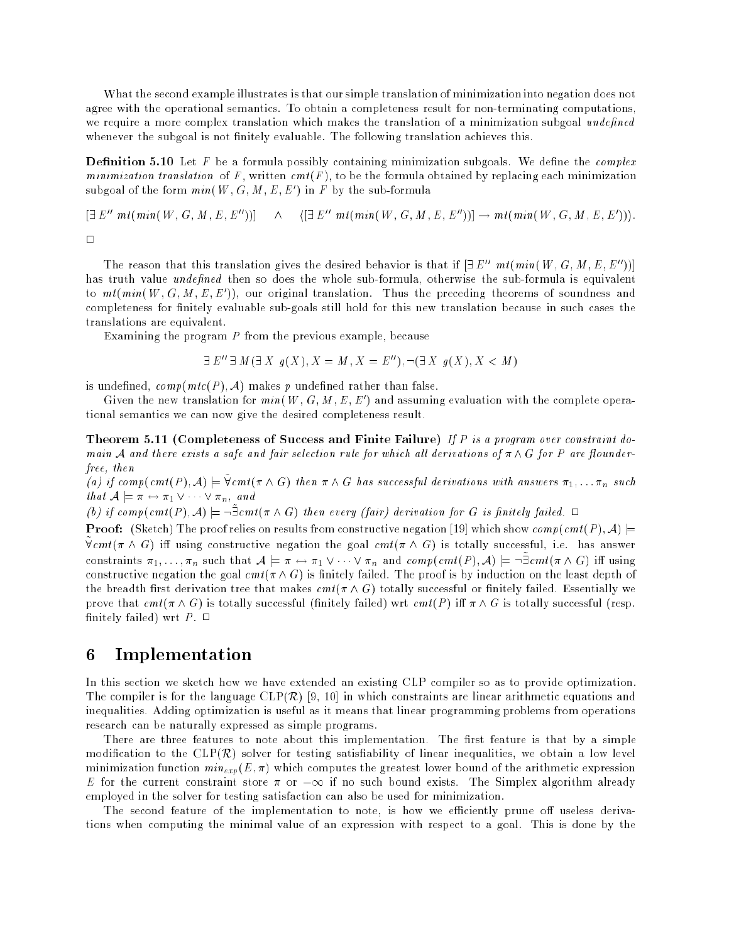What the second example illustrates is that our simple translation of minimization into negation does not agree with the operational semantics. To obtain a completeness result for non-terminating computations, we require a more complex translation which makes the translation of a minimization subgoal undefined whenever the subgoal is not finitely evaluable. The following translation achieves this.

**Definition 5.10** Let  $F$  be a formula possibly containing minimization subgoals. We define the *complex* minimization translation of F, written  $cm(f)$ , to be the formula obtained by replacing each minimization subgoal of the form  $min(W, G, M, E, E)$  in F by the sub-formula

$$
[\exists E'' m t (min(W, G, M, E, E''))] \quad \wedge \quad \langle [\exists E'' m t (min(W, G, M, E, E''))] \rightarrow m t (min(W, G, M, E, E')) \rangle.
$$

 $\Box$ 

The reason that this translation gives the desired behavior is that if  $\exists E'' \; mt(min(W, G, M, E, E'')]$ has truth value *undefined* then so does the whole sub-formula, otherwise the sub-formula is equivalent to  $m \iota(mm)$  ,  $W$  ,  $G$  ,  $M$  ,  $E$  ,  $E$  )), our original translation. Thus the preceding theorems of soundness and completeness for finitely evaluable sub-goals still hold for this new translation because in such cases the translations are equivalent.

Examining the program P from the previous example, because

$$
\exists E'' \exists M(\exists X \ g(X), X = M, X = E''), \neg (\exists X \ g(X), X < M)
$$

is undefined,  $comp(mtc(P), \mathcal{A})$  makes p undefined rather than false.

Given the new translation for min(W, G, M, E, E ) and assuming evaluation with the complete operational semantics we can now give the desired completeness result.

Theorem 5.11 (Completeness of Success and Finite Failure) If P is a program over constraint domain A and there exists a safe and fair selection rule for which all derivations of  $\pi \wedge G$  for P are flounderfree, then

 $\{a\}$  if complemels  $\{A\}$   $\mapsto$  venter  $\wedge$  G fuch a  $\wedge$  G has successful derivations with answers  $\pi_1, \ldots \pi_n$  such that  $A \models \pi \leftrightarrow \pi_1 \vee \cdots \vee \pi_n$ , and

 $\{v\}$  if complement f,  $A$ )  $\models \neg$  contra A G i and every flatry aerivation for G is finitely fatted.  $\Box$ 

**Proof:** (Sketch) The proof relies on results from constructive negation [19] which show comp(cmt(P), A)  $\models$  $\chi$  cmt(  $\pi$   $\wedge$  G) in using constructive negation the goal cmt(  $\pi$   $\wedge$  G) is totally successful, i.e. has answer constraints  $\pi_1, \ldots, \pi_n$  such that  $A \models \pi \leftrightarrow \pi_1 \vee \cdots \vee \pi_n$  and complement  $f, A \models \neg \bot$ cment  $\pi \wedge G$ ) in using constructive negation the goal  $cmt(\pi \wedge G)$  is finitely failed. The proof is by induction on the least depth of the breadth first derivation tree that makes  $cmt(\pi \wedge G)$  totally successful or finitely failed. Essentially we prove that  $cmt(\pi \wedge G)$  is totally successful (finitely failed) wrt  $cmt(P)$  iff  $\pi \wedge G$  is totally successful (resp. finitely failed) wrt  $P$ .  $\Box$ 

### 6 Implementation

In this section we sketch how we have extended an existing CLP compiler so as to provide optimization. The compiler is for the language  $CLP(\mathcal{R})$  [9, 10] in which constraints are linear arithmetic equations and inequalities. Adding optimization is useful as it means that linear programming problems from operations research can be naturally expressed as simple programs.

There are three features to note about this implementation. The first feature is that by a simple modification to the  $CLP(\mathcal{R})$  solver for testing satisfiability of linear inequalities, we obtain a low level minimization function  $min_{exp}(E, \pi)$  which computes the greatest lower bound of the arithmetic expression E for the current constraint store  $\pi$  or  $-\infty$  if no such bound exists. The Simplex algorithm already employed in the solver for testing satisfaction can also be used for minimization.

The second feature of the implementation to note, is how we efficiently prune off useless derivations when computing the minimal value of an expression with respect to a goal. This is done by the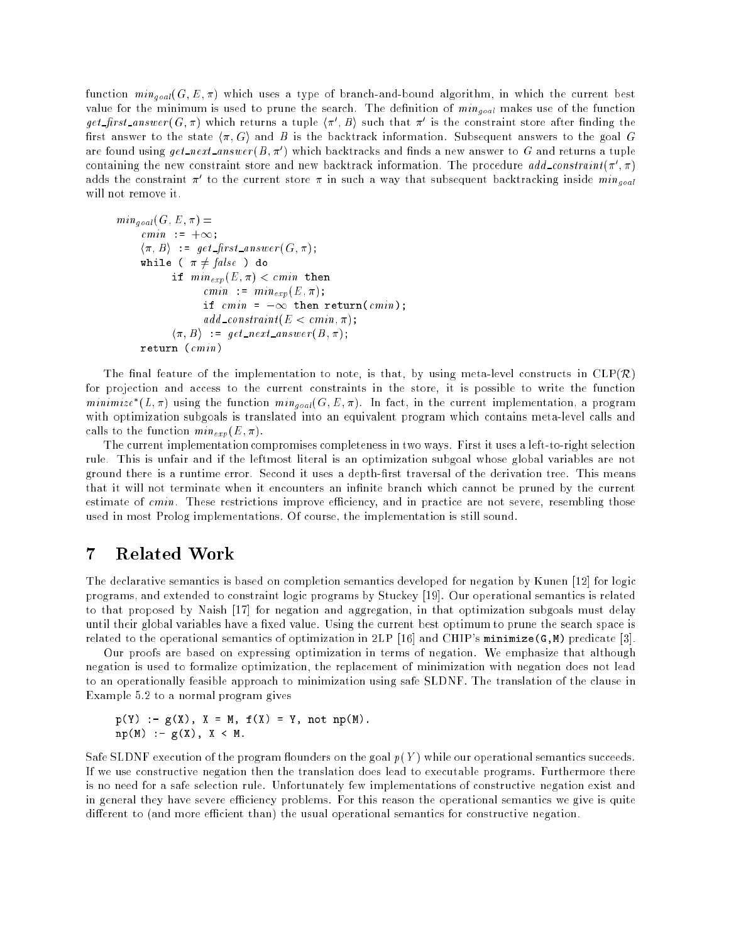function mingoal (G; <sup>E</sup> ; ) which uses <sup>a</sup> type of branch-and-bound algorithm, in which the current best  $\mathbf{v}$  value the search. The density of minimum is used to provide the function of  $\mathbf{v}$  $get\_first\_answer$  (G, a) which returns a tuple  $\{n_+, D\}$  such that a is the constraint store after iniding the first answer to the state  $\langle \pi, G \rangle$  and B is the backtrack information. Subsequent answers to the goal G are found using  $\it{get\_next\_answer}$  is a p which backtracks and finds a new answer to  $G$  and returns a tuple containing the new constraint store and new backtrack information. The procedure  $\it{aaa\_constant}$  ( $\it{n}$  ,  $\it{n}$  ) adds the constraint  $\pi$  to the current store  $\pi$  in such a way that subsequent backtracking inside  $min_{goal}$ will not remove it.

```
\cdots \cdots \cdots \cdots \cdots \cdots \cdotscmin := +\infty;
       \langle \pi, B \rangle := get_first_answer(G,\pi);
        where \sim for a factor \sim factor \sim\mathcal{I} = \{ \ldots, \ldots, \mathcal{I} \} . Then the contract then the contract theorems of \mathcal{I} = \{ \ldots, \mathcal{I} \}cmin := min_{exp}(E, \pi);
                             \equiv 1 then returns returns returns (coming );
                             add\_constraint(E < cmin, \pi);\langle \pi, B \rangle := get_next_answer(B,\pi);
        return (cmini)
```
The final feature of the implementation to note, is that, by using meta-level constructs in  $CLP(\mathcal{R})$ for projection and access to the current constraints in the store, it is possible to write the function  $minimize (L, \pi)$  using the function  $min_{goal}(G, E, \pi)$ . In fact, in the current implementation, a program with optimization subgoals is translated into an equivalent program which contains meta-level calls and calls to the function  $min_{exp}(E, \pi)$ .

The current implementation compromises completeness in two ways. First it uses a left-to-right selection rule. This is unfair and if the leftmost literal is an optimization subgoal whose global variables are not ground there is a runtime error. Second it uses a depth-first traversal of the derivation tree. This means that it will not terminate when it encounters an infinite branch which cannot be pruned by the current estimate of  $cmin$ . These restrictions improve efficiency, and in practice are not severe, resembling those used in most Prolog implementations. Of course, the implementation is still sound.

### 7 Related Work

The declarative semantics is based on completion semantics developed for negation by Kunen [12] for logic programs, and extended to constraint logic programs by Stuckey [19]. Our operational semantics is related to that proposed by Naish [17] for negation and aggregation, in that optimization subgoals must delay until their global variables have a fixed value. Using the current best optimum to prune the search space is related to the operational semantics of optimization in 2LP [16] and CHIP's minimize(G, M) predicate [3].

Our proofs are based on expressing optimization in terms of negation. We emphasize that although negation is used to formalize optimization, the replacement of minimization with negation does not lead to an operationally feasible approach to minimization using safe SLDNF. The translation of the clause in Example 5.2 to a normal program gives

p(Y) :- g(X), <sup>X</sup> <sup>=</sup> M, f(X) <sup>=</sup> Y, not np(M). np(M) :- g(X), <sup>X</sup> <sup>&</sup>lt; M.

Safe SLDNF execution of the program flounders on the goal  $p(Y)$  while our operational semantics succeeds. If we use constructive negation then the translation does lead to executable programs. Furthermore there is no need for a safe selection rule. Unfortunately few implementations of constructive negation exist and in general they have severe efficiency problems. For this reason the operational semantics we give is quite different to (and more efficient than) the usual operational semantics for constructive negation.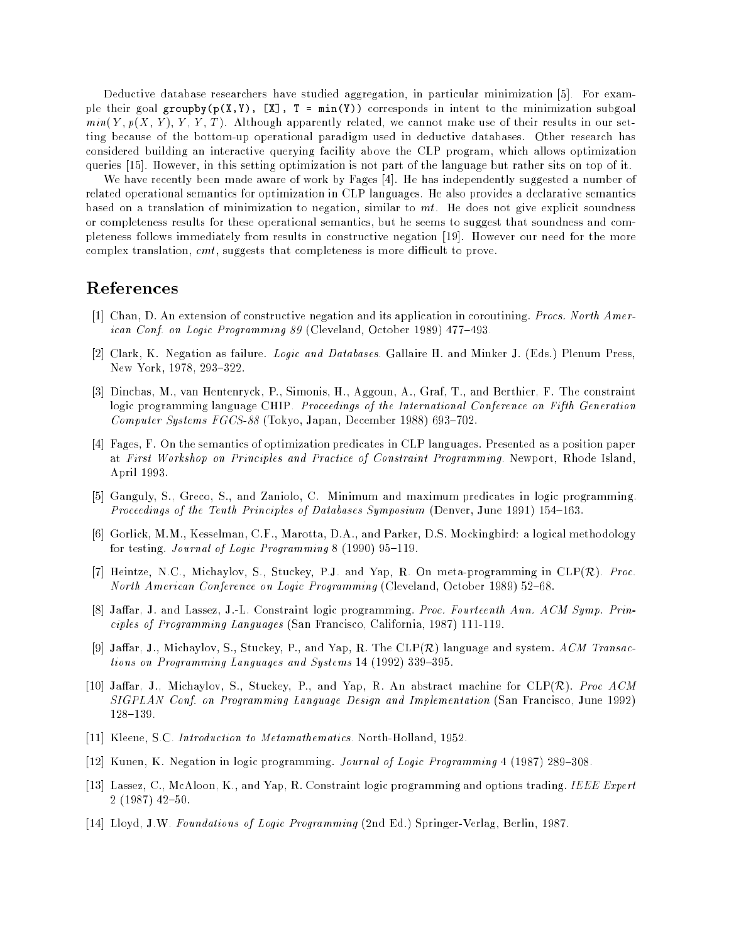Deductive database researchers have studied aggregation, in particular minimization [5]. For example their goal groupby( $p(X,Y)$ ,  $[X]$ ,  $T = min(Y)$ ) corresponds in intent to the minimization subgoal  $min(Y, p(X, Y), Y, Y, T)$ . Although apparently related, we cannot make use of their results in our setting because of the bottom-up operational paradigm used in deductive databases. Other research has considered building an interactive querying facility above the CLP program, which allows optimization queries [15]. However, in this setting optimization is not part of the language but rather sits on top of it.

We have recently been made aware of work by Fages [4]. He has independently suggested a number of related operational semantics for optimization in CLP languages. He also provides a declarative semantics based on a translation of minimization to negation, similar to  $mt$ . He does not give explicit soundness or completeness results for these operational semantics, but he seems to suggest that soundness and completeness follows immediately from results in constructive negation [19]. However our need for the more complex translation,  $cmt$ , suggests that completeness is more difficult to prove.

### References

- [1] Chan, D. An extension of constructive negation and its application in coroutining. Procs. North American Conf. on Logic Programming 89 (Cleveland, October 1989) 477-493.
- [2] Clark, K. Negation as failure. Logic and Databases. Gallaire H. and Minker J. (Eds.) Plenum Press, New York, 1978, 293-322.
- [3] Dincbas, M., van Hentenryck, P., Simonis, H., Aggoun, A., Graf, T., and Berthier, F. The constraint logic programming language CHIP. Proceedings of the International Conference on Fifth Generation Computer Systems  $FGCS-88$  (Tokyo, Japan, December 1988) 693-702.
- [4] Fages, F. On the semantics of optimization predicates in CLP languages. Presented as a position paper at First Workshop on Principles and Practice of Constraint Programming. Newport, Rhode Island, April 1993.
- [5] Ganguly, S., Greco, S., and Zaniolo, C. Minimum and maximum predicates in logic programming. Proceedings of the Tenth Principles of Databases Symposium (Denver, June 1991) 154-163.
- [6] Gorlick, M.M., Kesselman, C.F., Marotta, D.A., and Parker, D.S. Mockingbird: a logical methodology for testing. Journal of Logic Programming  $8$  (1990) 95-119.
- [7] Heintze, N.C., Michaylov, S., Stuckey, P.J. and Yap, R. On meta-programming in  $CLP(\mathcal{R})$ . Proc. North American Conference on Logic Programming (Cleveland, October 1989) 52-68.
- [8] Jaffar, J. and Lassez, J.-L. Constraint logic programming. Proc. Fourteenth Ann. ACM Symp. Principles of Programming Languages (San Francisco, California, 1987) 111-119.
- [9] Jaffar, J., Michaylov, S., Stuckey, P., and Yap, R. The  $CLP(\mathcal{R})$  language and system. ACM Transactions on Programming Languages and Systems  $14$  (1992) 339-395.
- [10] Jaffar, J., Michaylov, S., Stuckey, P., and Yap, R. An abstract machine for  $CLP(\mathcal{R})$ . Proc  $ACM$ SIGPLAN Conf. on Programming Language Design and Implementation (San Francisco, June 1992) 128{139.
- [11] Kleene, S.C. *Introduction to Metamathematics*. North-Holland, 1952.
- [12] Kunen, K. Negation in logic programming. *Journal of Logic Programming* 4 (1987) 289-308.
- [13] Lassez, C., McAloon, K., and Yap, R. Constraint logic programming and options trading. IEEE Expert  $2(1987)$  42-50.
- [14] Lloyd, J.W. Foundations of Logic Programming (2nd Ed.) Springer-Verlag, Berlin, 1987.